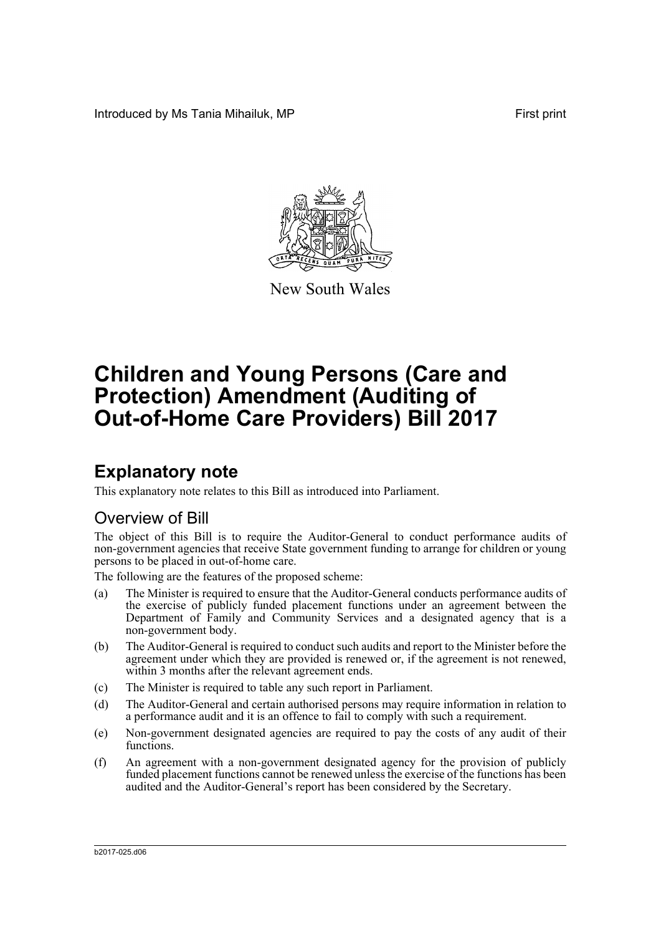Introduced by Ms Tania Mihailuk, MP **First** print



New South Wales

# **Children and Young Persons (Care and Protection) Amendment (Auditing of Out-of-Home Care Providers) Bill 2017**

# **Explanatory note**

This explanatory note relates to this Bill as introduced into Parliament.

## Overview of Bill

The object of this Bill is to require the Auditor-General to conduct performance audits of non-government agencies that receive State government funding to arrange for children or young persons to be placed in out-of-home care.

The following are the features of the proposed scheme:

- (a) The Minister is required to ensure that the Auditor-General conducts performance audits of the exercise of publicly funded placement functions under an agreement between the Department of Family and Community Services and a designated agency that is a non-government body.
- (b) The Auditor-General is required to conduct such audits and report to the Minister before the agreement under which they are provided is renewed or, if the agreement is not renewed, within 3 months after the relevant agreement ends.
- (c) The Minister is required to table any such report in Parliament.
- (d) The Auditor-General and certain authorised persons may require information in relation to a performance audit and it is an offence to fail to comply with such a requirement.
- (e) Non-government designated agencies are required to pay the costs of any audit of their functions.
- (f) An agreement with a non-government designated agency for the provision of publicly funded placement functions cannot be renewed unless the exercise of the functions has been audited and the Auditor-General's report has been considered by the Secretary.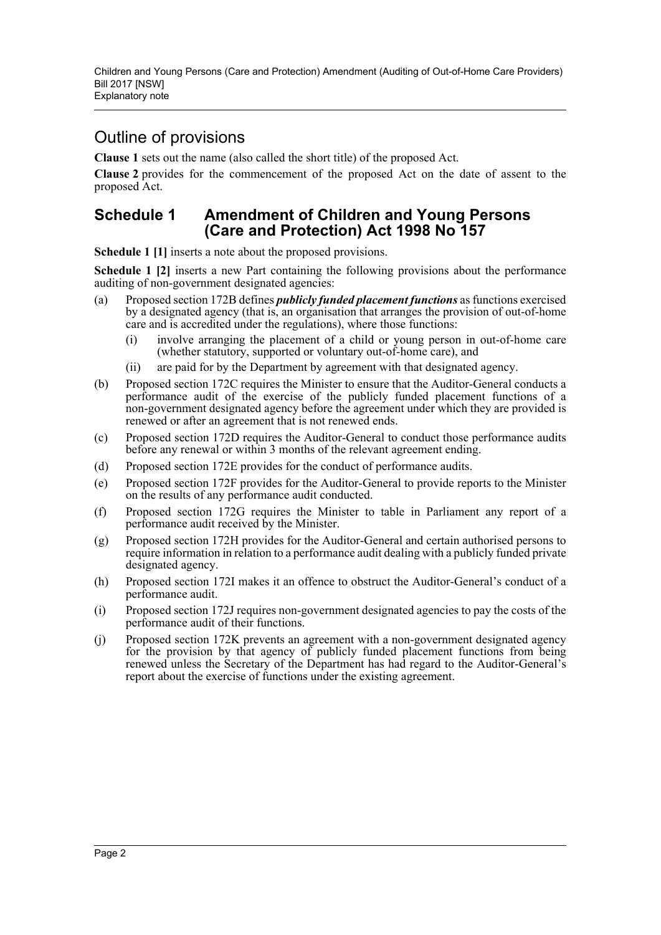## Outline of provisions

**Clause 1** sets out the name (also called the short title) of the proposed Act.

**Clause 2** provides for the commencement of the proposed Act on the date of assent to the proposed Act.

### **Schedule 1 Amendment of Children and Young Persons (Care and Protection) Act 1998 No 157**

**Schedule 1 [1]** inserts a note about the proposed provisions.

**Schedule 1 [2]** inserts a new Part containing the following provisions about the performance auditing of non-government designated agencies:

- (a) Proposed section 172B defines *publicly funded placement functions* as functions exercised by a designated agency (that is, an organisation that arranges the provision of out-of-home care and is accredited under the regulations), where those functions:
	- (i) involve arranging the placement of a child or young person in out-of-home care (whether statutory, supported or voluntary out-of-home care), and
	- (ii) are paid for by the Department by agreement with that designated agency.
- (b) Proposed section 172C requires the Minister to ensure that the Auditor-General conducts a performance audit of the exercise of the publicly funded placement functions of a non-government designated agency before the agreement under which they are provided is renewed or after an agreement that is not renewed ends.
- (c) Proposed section 172D requires the Auditor-General to conduct those performance audits before any renewal or within 3 months of the relevant agreement ending.
- (d) Proposed section 172E provides for the conduct of performance audits.
- (e) Proposed section 172F provides for the Auditor-General to provide reports to the Minister on the results of any performance audit conducted.
- (f) Proposed section 172G requires the Minister to table in Parliament any report of a performance audit received by the Minister.
- (g) Proposed section 172H provides for the Auditor-General and certain authorised persons to require information in relation to a performance audit dealing with a publicly funded private designated agency.
- (h) Proposed section 172I makes it an offence to obstruct the Auditor-General's conduct of a performance audit.
- (i) Proposed section 172J requires non-government designated agencies to pay the costs of the performance audit of their functions.
- (j) Proposed section 172K prevents an agreement with a non-government designated agency for the provision by that agency of publicly funded placement functions from being renewed unless the Secretary of the Department has had regard to the Auditor-General's report about the exercise of functions under the existing agreement.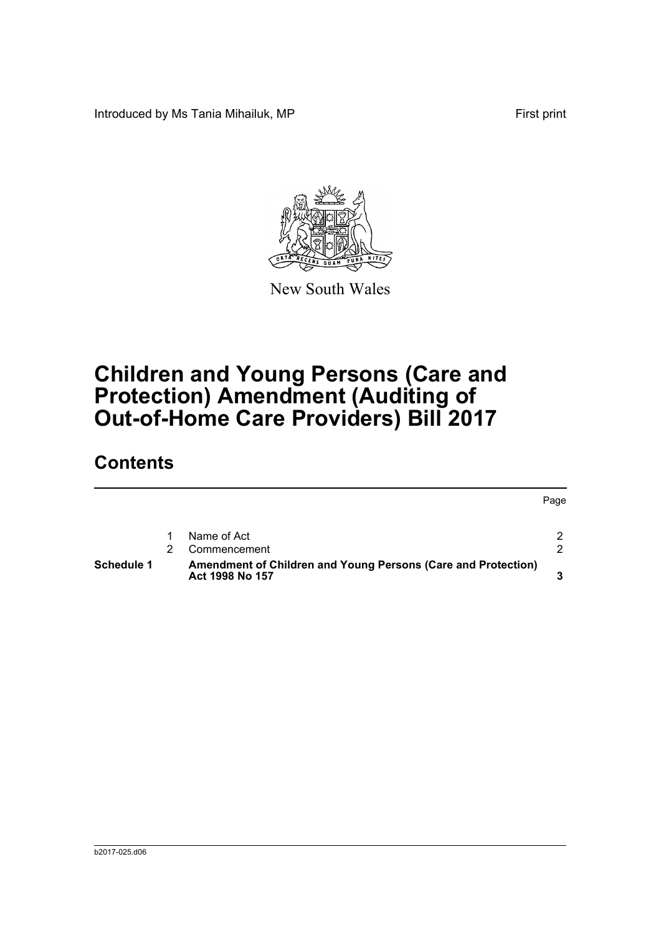Introduced by Ms Tania Mihailuk, MP First print



New South Wales

# **Children and Young Persons (Care and Protection) Amendment (Auditing of Out-of-Home Care Providers) Bill 2017**

## **Contents**

|            |                                                                                  | Page          |
|------------|----------------------------------------------------------------------------------|---------------|
|            | Name of Act                                                                      | $\mathcal{P}$ |
|            | Commencement                                                                     | $\mathcal{P}$ |
| Schedule 1 | Amendment of Children and Young Persons (Care and Protection)<br>Act 1998 No 157 |               |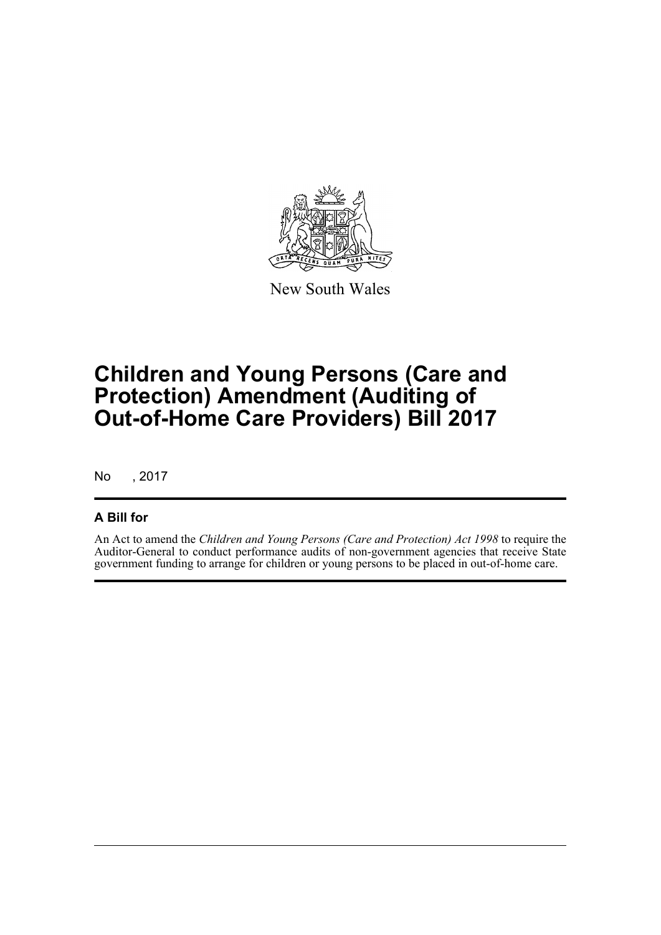

New South Wales

# **Children and Young Persons (Care and Protection) Amendment (Auditing of Out-of-Home Care Providers) Bill 2017**

No , 2017

### **A Bill for**

An Act to amend the *Children and Young Persons (Care and Protection) Act 1998* to require the Auditor-General to conduct performance audits of non-government agencies that receive State government funding to arrange for children or young persons to be placed in out-of-home care.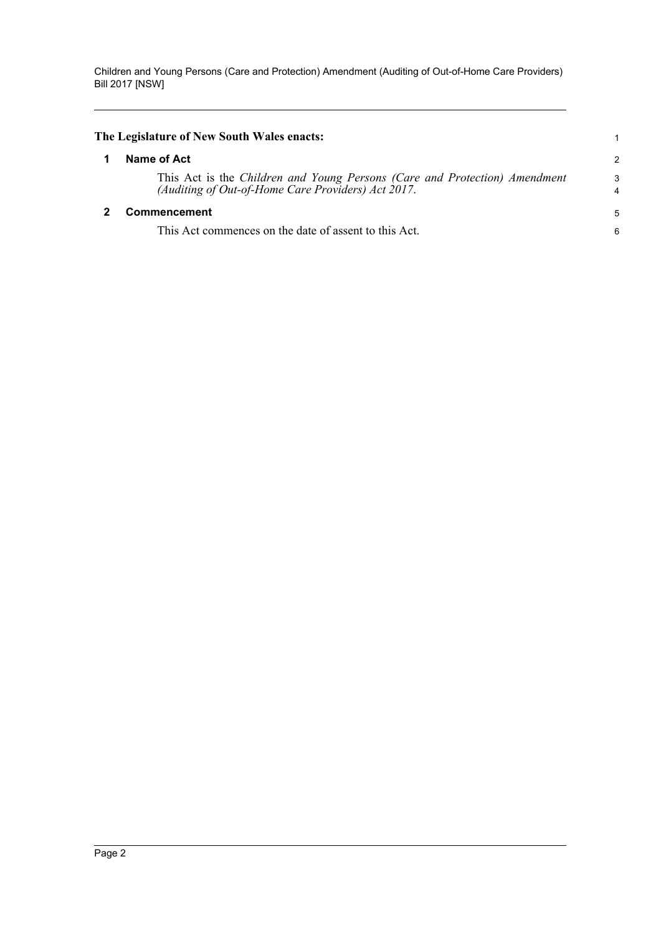<span id="page-4-1"></span><span id="page-4-0"></span>

| The Legislature of New South Wales enacts:                                                                                       |        |
|----------------------------------------------------------------------------------------------------------------------------------|--------|
| Name of Act                                                                                                                      | 2      |
| This Act is the Children and Young Persons (Care and Protection) Amendment<br>(Auditing of Out-of-Home Care Providers) Act 2017. | 3<br>4 |
| <b>Commencement</b>                                                                                                              | 5      |
| This Act commences on the date of assent to this Act.                                                                            | 6      |
|                                                                                                                                  |        |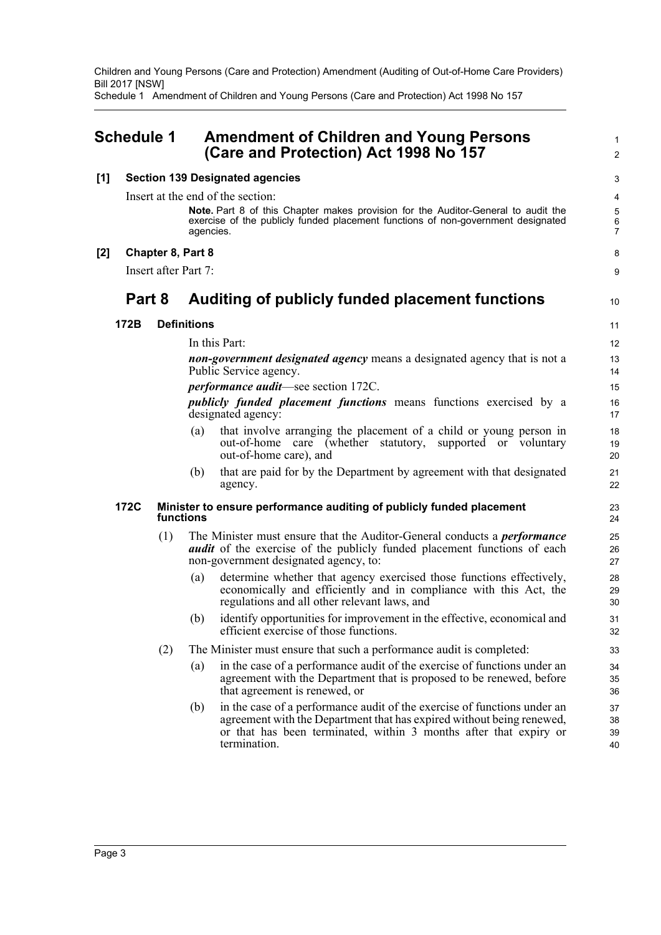Schedule 1 Amendment of Children and Young Persons (Care and Protection) Act 1998 No 157

### <span id="page-5-0"></span>**Schedule 1 Amendment of Children and Young Persons (Care and Protection) Act 1998 No 157**

### **[1] Section 139 Designated agencies**

Insert at the end of the section:

In this Part:

**Note.** Part 8 of this Chapter makes provision for the Auditor-General to audit the exercise of the publicly funded placement functions of non-government designated agencies.

#### **[2] Chapter 8, Part 8**

Insert after Part 7:

### **Part 8 Auditing of publicly funded placement functions**

### **172B Definitions**

10

1  $\overline{2}$ 

*non-government designated agency* means a designated agency that is not a Public Service agency.

*performance audit*—see section 172C.

*publicly funded placement functions* means functions exercised by a designated agency:

- (a) that involve arranging the placement of a child or young person in out-of-home care (whether statutory, supported or voluntary out-of-home care), and
- (b) that are paid for by the Department by agreement with that designated agency.

#### **172C Minister to ensure performance auditing of publicly funded placement functions**

- (1) The Minister must ensure that the Auditor-General conducts a *performance audit* of the exercise of the publicly funded placement functions of each non-government designated agency, to:
	- (a) determine whether that agency exercised those functions effectively, economically and efficiently and in compliance with this Act, the regulations and all other relevant laws, and
	- (b) identify opportunities for improvement in the effective, economical and efficient exercise of those functions.
- (2) The Minister must ensure that such a performance audit is completed:
	- (a) in the case of a performance audit of the exercise of functions under an agreement with the Department that is proposed to be renewed, before that agreement is renewed, or
	- (b) in the case of a performance audit of the exercise of functions under an agreement with the Department that has expired without being renewed, or that has been terminated, within 3 months after that expiry or termination.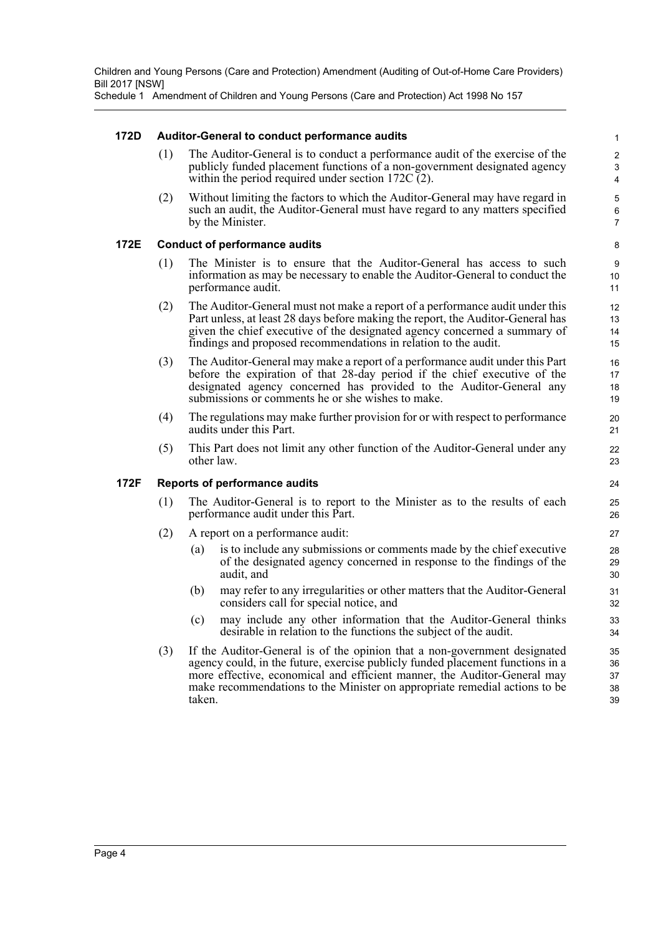Schedule 1 Amendment of Children and Young Persons (Care and Protection) Act 1998 No 157

### **172D Auditor-General to conduct performance audits**

(1) The Auditor-General is to conduct a performance audit of the exercise of the publicly funded placement functions of a non-government designated agency within the period required under section  $172C(2)$ .

(2) Without limiting the factors to which the Auditor-General may have regard in such an audit, the Auditor-General must have regard to any matters specified by the Minister.

#### **172E Conduct of performance audits**

- (1) The Minister is to ensure that the Auditor-General has access to such information as may be necessary to enable the Auditor-General to conduct the performance audit.
- (2) The Auditor-General must not make a report of a performance audit under this Part unless, at least 28 days before making the report, the Auditor-General has given the chief executive of the designated agency concerned a summary of findings and proposed recommendations in relation to the audit.
- (3) The Auditor-General may make a report of a performance audit under this Part before the expiration of that 28-day period if the chief executive of the designated agency concerned has provided to the Auditor-General any submissions or comments he or she wishes to make.
- (4) The regulations may make further provision for or with respect to performance audits under this Part.
- (5) This Part does not limit any other function of the Auditor-General under any other law.

### **172F Reports of performance audits**

- (1) The Auditor-General is to report to the Minister as to the results of each performance audit under this Part.
- (2) A report on a performance audit:
	- (a) is to include any submissions or comments made by the chief executive of the designated agency concerned in response to the findings of the audit, and
	- (b) may refer to any irregularities or other matters that the Auditor-General considers call for special notice, and
	- (c) may include any other information that the Auditor-General thinks desirable in relation to the functions the subject of the audit.
- (3) If the Auditor-General is of the opinion that a non-government designated agency could, in the future, exercise publicly funded placement functions in a more effective, economical and efficient manner, the Auditor-General may make recommendations to the Minister on appropriate remedial actions to be taken.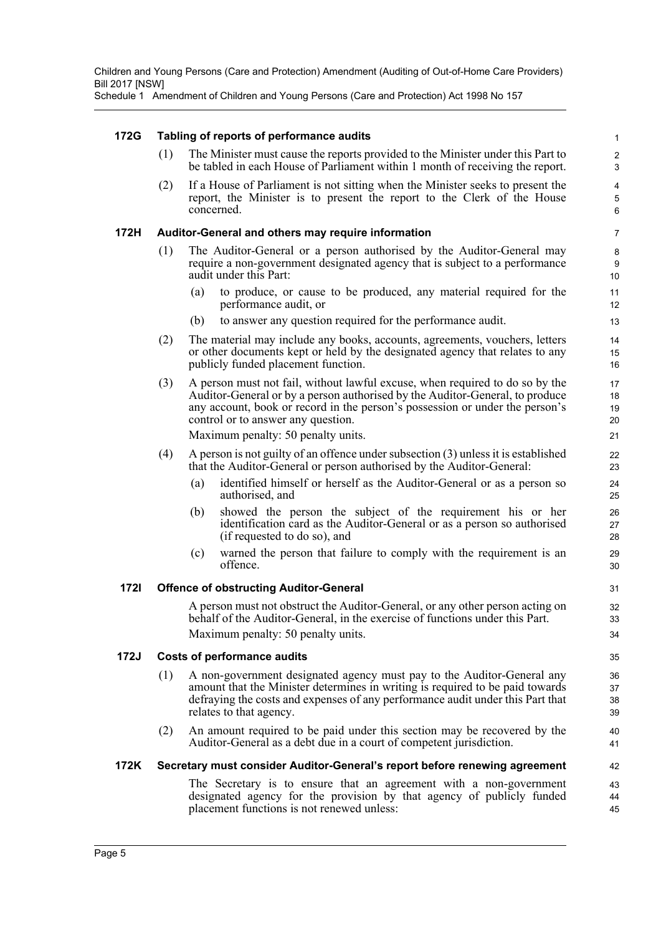Schedule 1 Amendment of Children and Young Persons (Care and Protection) Act 1998 No 157

### **172G Tabling of reports of performance audits**

(1) The Minister must cause the reports provided to the Minister under this Part to be tabled in each House of Parliament within 1 month of receiving the report.

(2) If a House of Parliament is not sitting when the Minister seeks to present the report, the Minister is to present the report to the Clerk of the House concerned.

#### **172H Auditor-General and others may require information**

- (1) The Auditor-General or a person authorised by the Auditor-General may require a non-government designated agency that is subject to a performance audit under this Part:
	- (a) to produce, or cause to be produced, any material required for the performance audit, or
	- (b) to answer any question required for the performance audit.
- (2) The material may include any books, accounts, agreements, vouchers, letters or other documents kept or held by the designated agency that relates to any publicly funded placement function.
- (3) A person must not fail, without lawful excuse, when required to do so by the Auditor-General or by a person authorised by the Auditor-General, to produce any account, book or record in the person's possession or under the person's control or to answer any question.

Maximum penalty: 50 penalty units.

- (4) A person is not guilty of an offence under subsection (3) unless it is established that the Auditor-General or person authorised by the Auditor-General:
	- (a) identified himself or herself as the Auditor-General or as a person so authorised, and
	- (b) showed the person the subject of the requirement his or her identification card as the Auditor-General or as a person so authorised (if requested to do so), and
	- (c) warned the person that failure to comply with the requirement is an offence.

### **172I Offence of obstructing Auditor-General**

A person must not obstruct the Auditor-General, or any other person acting on behalf of the Auditor-General, in the exercise of functions under this Part. Maximum penalty: 50 penalty units.

### **172J Costs of performance audits**

- (1) A non-government designated agency must pay to the Auditor-General any amount that the Minister determines in writing is required to be paid towards defraying the costs and expenses of any performance audit under this Part that relates to that agency.
- (2) An amount required to be paid under this section may be recovered by the Auditor-General as a debt due in a court of competent jurisdiction.

### **172K Secretary must consider Auditor-General's report before renewing agreement**

The Secretary is to ensure that an agreement with a non-government designated agency for the provision by that agency of publicly funded placement functions is not renewed unless: